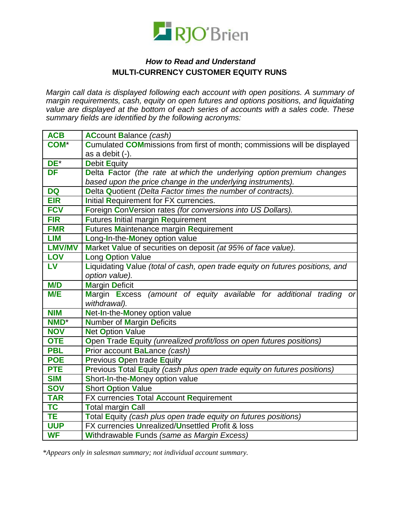

## **How to Read and Understand** MULTI-CURRENCY CUSTOMER EQUITY RUNS

Margin call data is displayed following each account with open positions. A summary of margin requirements, cash, equity on open futures and options positions, and liquidating value are displayed at the bottom of each series of accounts with a sales code. These summary fields are identified by the following acronyms:

| <b>ACB</b>    | <b>ACcount Balance (cash)</b>                                                    |
|---------------|----------------------------------------------------------------------------------|
| <b>COM*</b>   | <b>Cumulated COM</b> missions from first of month; commissions will be displayed |
|               | as a debit (-).                                                                  |
| DE*           | <b>Debit Equity</b>                                                              |
| <b>DF</b>     | Delta Factor (the rate at which the underlying option premium changes            |
|               | based upon the price change in the underlying instruments).                      |
| <b>DQ</b>     | Delta Quotient (Delta Factor times the number of contracts).                     |
| <b>EIR</b>    | Initial Requirement for FX currencies.                                           |
| <b>FCV</b>    | Foreign ConVersion rates (for conversions into US Dollars).                      |
| <b>FIR</b>    | <b>Futures Initial margin Requirement</b>                                        |
| <b>FMR</b>    | <b>Futures Maintenance margin Requirement</b>                                    |
| <b>LIM</b>    | Long-In-the-Money option value                                                   |
| <b>LMV/MV</b> | Market Value of securities on deposit (at 95% of face value).                    |
| <b>LOV</b>    | <b>Long Option Value</b>                                                         |
| <b>LV</b>     | Liquidating Value (total of cash, open trade equity on futures positions, and    |
|               | option value).                                                                   |
| <b>M/D</b>    | <b>Margin Deficit</b>                                                            |
| <b>M/E</b>    | Margin Excess (amount of equity available for additional trading or              |
|               | withdrawal).                                                                     |
| <b>NIM</b>    | Net-In-the-Money option value                                                    |
| <b>NMD*</b>   | <b>Number of Margin Deficits</b>                                                 |
| <b>NOV</b>    | <b>Net Option Value</b>                                                          |
| <b>OTE</b>    | Open Trade Equity (unrealized profit/loss on open futures positions)             |
| <b>PBL</b>    | Prior account BaLance (cash)                                                     |
| <b>POE</b>    | <b>Previous Open trade Equity</b>                                                |
| <b>PTE</b>    | Previous Total Equity (cash plus open trade equity on futures positions)         |
| <b>SIM</b>    | Short-In-the-Money option value                                                  |
| <b>SOV</b>    | <b>Short Option Value</b>                                                        |
| <b>TAR</b>    | FX currencies Total Account Requirement                                          |
| <b>TC</b>     | <b>Total margin Call</b>                                                         |
| <b>TE</b>     | Total Equity (cash plus open trade equity on futures positions)                  |
| <b>UUP</b>    | FX currencies Unrealized/Unsettled Profit & loss                                 |
| <b>WF</b>     | Withdrawable Funds (same as Margin Excess)                                       |

\*Appears only in salesman summary; not individual account summary.